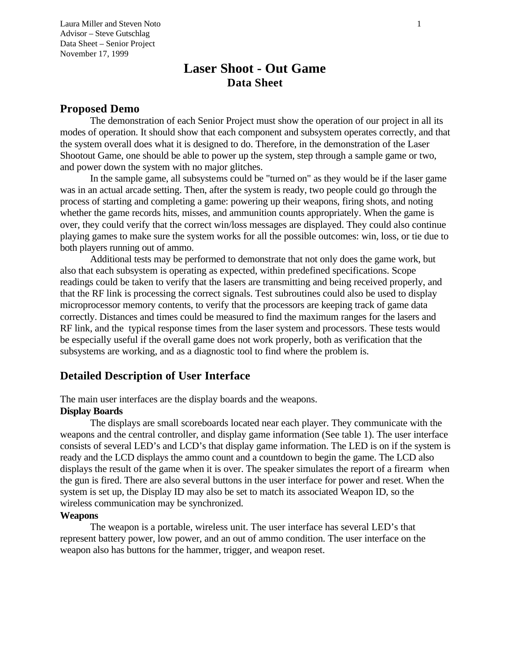Laura Miller and Steven Noto 1 Advisor – Steve Gutschlag Data Sheet – Senior Project November 17, 1999

# **Laser Shoot - Out Game Data Sheet**

#### **Proposed Demo**

The demonstration of each Senior Project must show the operation of our project in all its modes of operation. It should show that each component and subsystem operates correctly, and that the system overall does what it is designed to do. Therefore, in the demonstration of the Laser Shootout Game, one should be able to power up the system, step through a sample game or two, and power down the system with no major glitches.

In the sample game, all subsystems could be "turned on" as they would be if the laser game was in an actual arcade setting. Then, after the system is ready, two people could go through the process of starting and completing a game: powering up their weapons, firing shots, and noting whether the game records hits, misses, and ammunition counts appropriately. When the game is over, they could verify that the correct win/loss messages are displayed. They could also continue playing games to make sure the system works for all the possible outcomes: win, loss, or tie due to both players running out of ammo.

Additional tests may be performed to demonstrate that not only does the game work, but also that each subsystem is operating as expected, within predefined specifications. Scope readings could be taken to verify that the lasers are transmitting and being received properly, and that the RF link is processing the correct signals. Test subroutines could also be used to display microprocessor memory contents, to verify that the processors are keeping track of game data correctly. Distances and times could be measured to find the maximum ranges for the lasers and RF link, and the typical response times from the laser system and processors. These tests would be especially useful if the overall game does not work properly, both as verification that the subsystems are working, and as a diagnostic tool to find where the problem is.

### **Detailed Description of User Interface**

The main user interfaces are the display boards and the weapons.

### **Display Boards**

The displays are small scoreboards located near each player. They communicate with the weapons and the central controller, and display game information (See table 1). The user interface consists of several LED's and LCD's that display game information. The LED is on if the system is ready and the LCD displays the ammo count and a countdown to begin the game. The LCD also displays the result of the game when it is over. The speaker simulates the report of a firearm when the gun is fired. There are also several buttons in the user interface for power and reset. When the system is set up, the Display ID may also be set to match its associated Weapon ID, so the wireless communication may be synchronized.

#### **Weapons**

The weapon is a portable, wireless unit. The user interface has several LED's that represent battery power, low power, and an out of ammo condition. The user interface on the weapon also has buttons for the hammer, trigger, and weapon reset.